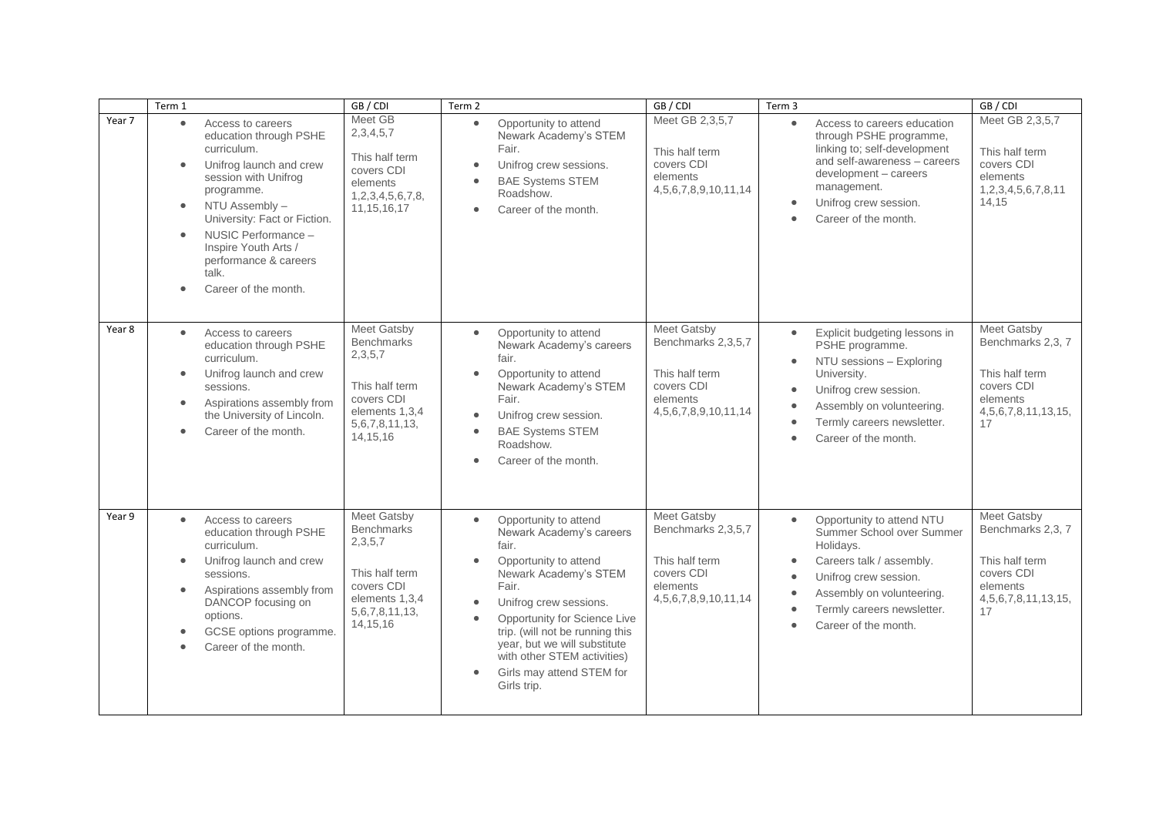|        | Term 1                                                                                                                                                                                                                                                                                                                                                  | GB / CDI                                                                                                                                  | Term 2                                                                                                                                                                                                                                                                                                                                                  | GB / CDI                                                                                                             | Term 3                                                                                                                                                                                                                                    | GB / CDI                                                                                                                |
|--------|---------------------------------------------------------------------------------------------------------------------------------------------------------------------------------------------------------------------------------------------------------------------------------------------------------------------------------------------------------|-------------------------------------------------------------------------------------------------------------------------------------------|---------------------------------------------------------------------------------------------------------------------------------------------------------------------------------------------------------------------------------------------------------------------------------------------------------------------------------------------------------|----------------------------------------------------------------------------------------------------------------------|-------------------------------------------------------------------------------------------------------------------------------------------------------------------------------------------------------------------------------------------|-------------------------------------------------------------------------------------------------------------------------|
| Year 7 | Access to careers<br>$\bullet$<br>education through PSHE<br>curriculum.<br>Unifrog launch and crew<br>$\bullet$<br>session with Unifrog<br>programme.<br>NTU Assembly -<br>$\bullet$<br>University: Fact or Fiction.<br>NUSIC Performance -<br>$\bullet$<br>Inspire Youth Arts /<br>performance & careers<br>talk.<br>Career of the month.<br>$\bullet$ | Meet GB<br>2,3,4,5,7<br>This half term<br>covers CDI<br>elements<br>1,2,3,4,5,6,7,8,<br>11, 15, 16, 17                                    | Opportunity to attend<br>$\bullet$<br>Newark Academy's STEM<br>Fair.<br>Unifrog crew sessions.<br>$\bullet$<br><b>BAE Systems STEM</b><br>$\bullet$<br>Roadshow.<br>Career of the month.                                                                                                                                                                | Meet GB 2,3,5,7<br>This half term<br>covers CDI<br>elements<br>4, 5, 6, 7, 8, 9, 10, 11, 14                          | Access to careers education<br>$\bullet$<br>through PSHE programme,<br>linking to; self-development<br>and self-awareness - careers<br>development - careers<br>management.<br>Unifrog crew session.<br>Career of the month.<br>$\bullet$ | Meet GB 2,3,5,7<br>This half term<br>covers CDI<br>elements<br>1,2,3,4,5,6,7,8,11<br>14.15                              |
| Year 8 | Access to careers<br>$\bullet$<br>education through PSHE<br>curriculum.<br>Unifrog launch and crew<br>$\bullet$<br>sessions.<br>Aspirations assembly from<br>$\bullet$<br>the University of Lincoln.<br>Career of the month.<br>$\bullet$                                                                                                               | <b>Meet Gatsby</b><br><b>Benchmarks</b><br>2,3,5,7<br>This half term<br>covers CDI<br>elements 1,3,4<br>5, 6, 7, 8, 11, 13,<br>14, 15, 16 | Opportunity to attend<br>$\bullet$<br>Newark Academy's careers<br>fair.<br>Opportunity to attend<br>$\bullet$<br>Newark Academy's STEM<br>Fair.<br>Unifrog crew session.<br>$\bullet$<br><b>BAE Systems STEM</b><br>$\bullet$<br>Roadshow.<br>Career of the month.<br>$\bullet$                                                                         | <b>Meet Gatsby</b><br>Benchmarks 2,3,5,7<br>This half term<br>covers CDI<br>elements<br>4, 5, 6, 7, 8, 9, 10, 11, 14 | Explicit budgeting lessons in<br>$\bullet$<br>PSHE programme.<br>NTU sessions - Exploring<br>University.<br>Unifrog crew session.<br>Assembly on volunteering.<br>Termly careers newsletter.<br>Career of the month.                      | Meet Gatsby<br>Benchmarks 2,3, 7<br>This half term<br>covers CDI<br>elements<br>4, 5, 6, 7, 8, 11, 13, 15,<br>17        |
| Year 9 | Access to careers<br>$\bullet$<br>education through PSHE<br>curriculum.<br>Unifrog launch and crew<br>$\bullet$<br>sessions.<br>Aspirations assembly from<br>DANCOP focusing on<br>options.<br>GCSE options programme.<br>Career of the month.                                                                                                          | <b>Meet Gatsby</b><br><b>Benchmarks</b><br>2,3,5,7<br>This half term<br>covers CDI<br>elements 1.3.4<br>5, 6, 7, 8, 11, 13,<br>14, 15, 16 | Opportunity to attend<br>$\bullet$<br>Newark Academy's careers<br>fair.<br>Opportunity to attend<br>Newark Academy's STEM<br>Fair.<br>Unifrog crew sessions.<br>Opportunity for Science Live<br>trip. (will not be running this<br>year, but we will substitute<br>with other STEM activities)<br>Girls may attend STEM for<br>$\bullet$<br>Girls trip. | <b>Meet Gatsby</b><br>Benchmarks 2,3,5,7<br>This half term<br>covers CDI<br>elements<br>4, 5, 6, 7, 8, 9, 10, 11, 14 | Opportunity to attend NTU<br>$\bullet$<br>Summer School over Summer<br>Holidays.<br>Careers talk / assembly.<br>Unifrog crew session.<br>Assembly on volunteering.<br>Termly careers newsletter.<br>$\bullet$<br>Career of the month.     | <b>Meet Gatsby</b><br>Benchmarks 2,3, 7<br>This half term<br>covers CDI<br>elements<br>4, 5, 6, 7, 8, 11, 13, 15,<br>17 |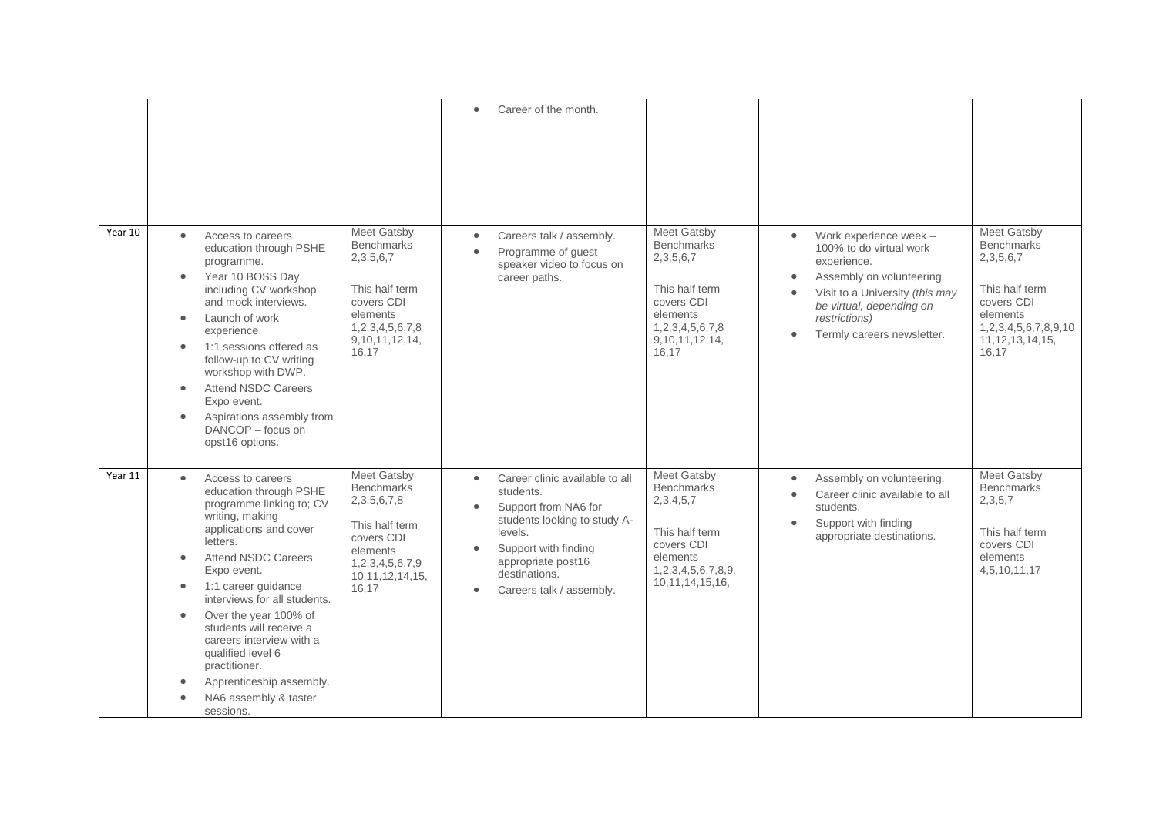|         |                                                                                                                                                                                                                                                                                                                                                                                                                                                                                  |                                                                                                                                                            | Career of the month.<br>$\bullet$                                                                                                                                                                                                                             |                                                                                                                                                        |                                                                                                                                                                                                                          |                                                                                                                                                       |
|---------|----------------------------------------------------------------------------------------------------------------------------------------------------------------------------------------------------------------------------------------------------------------------------------------------------------------------------------------------------------------------------------------------------------------------------------------------------------------------------------|------------------------------------------------------------------------------------------------------------------------------------------------------------|---------------------------------------------------------------------------------------------------------------------------------------------------------------------------------------------------------------------------------------------------------------|--------------------------------------------------------------------------------------------------------------------------------------------------------|--------------------------------------------------------------------------------------------------------------------------------------------------------------------------------------------------------------------------|-------------------------------------------------------------------------------------------------------------------------------------------------------|
| Year 10 | $\bullet$<br>Access to careers<br>education through PSHE<br>programme.<br>Year 10 BOSS Day,<br>$\bullet$<br>including CV workshop<br>and mock interviews.<br>Launch of work<br>$\bullet$<br>experience.<br>1:1 sessions offered as<br>$\bullet$<br>follow-up to CV writing<br>workshop with DWP.<br><b>Attend NSDC Careers</b><br>$\bullet$<br>Expo event.<br>Aspirations assembly from<br>$\bullet$<br>DANCOP - focus on<br>opst16 options.                                     | <b>Meet Gatsby</b><br><b>Benchmarks</b><br>2, 3, 5, 6, 7<br>This half term<br>covers CDI<br>elements<br>1,2,3,4,5,6,7,8<br>9, 10, 11, 12, 14,<br>16,17     | Careers talk / assembly.<br>$\bullet$<br>Programme of guest<br>speaker video to focus on<br>career paths.                                                                                                                                                     | <b>Meet Gatsby</b><br><b>Benchmarks</b><br>2, 3, 5, 6, 7<br>This half term<br>covers CDI<br>elements<br>1,2,3,4,5,6,7,8<br>9, 10, 11, 12, 14,<br>16,17 | Work experience week -<br>$\bullet$<br>100% to do virtual work<br>experience.<br>Assembly on volunteering.<br>Visit to a University (this may<br>be virtual, depending on<br>restrictions)<br>Termly careers newsletter. | Meet Gatsby<br><b>Benchmarks</b><br>2, 3, 5, 6, 7<br>This half term<br>covers CDI<br>elements<br>1,2,3,4,5,6,7,8,9,10<br>11, 12, 13, 14, 15,<br>16,17 |
| Year 11 | Access to careers<br>$\bullet$<br>education through PSHE<br>programme linking to; CV<br>writing, making<br>applications and cover<br>letters.<br><b>Attend NSDC Careers</b><br>$\bullet$<br>Expo event.<br>1:1 career guidance<br>$\bullet$<br>interviews for all students.<br>Over the year 100% of<br>$\bullet$<br>students will receive a<br>careers interview with a<br>qualified level 6<br>practitioner.<br>Apprenticeship assembly.<br>NA6 assembly & taster<br>sessions. | <b>Meet Gatsby</b><br><b>Benchmarks</b><br>2, 3, 5, 6, 7, 8<br>This half term<br>covers CDI<br>elements<br>1,2,3,4,5,6,7,9<br>10, 11, 12, 14, 15,<br>16,17 | Career clinic available to all<br>$\bullet$<br>students.<br>Support from NA6 for<br>$\bullet$<br>students looking to study A-<br>levels.<br>Support with finding<br>$\bullet$<br>appropriate post16<br>destinations.<br>Careers talk / assembly.<br>$\bullet$ | <b>Meet Gatsby</b><br><b>Benchmarks</b><br>2, 3, 4, 5, 7<br>This half term<br>covers CDI<br>elements<br>1,2,3,4,5,6,7,8,9,<br>10, 11, 14, 15, 16,      | Assembly on volunteering.<br>Career clinic available to all<br>$\bullet$<br>students.<br>Support with finding<br>$\bullet$<br>appropriate destinations.                                                                  | <b>Meet Gatsby</b><br><b>Benchmarks</b><br>2,3,5,7<br>This half term<br>covers CDI<br>elements<br>4,5,10,11,17                                        |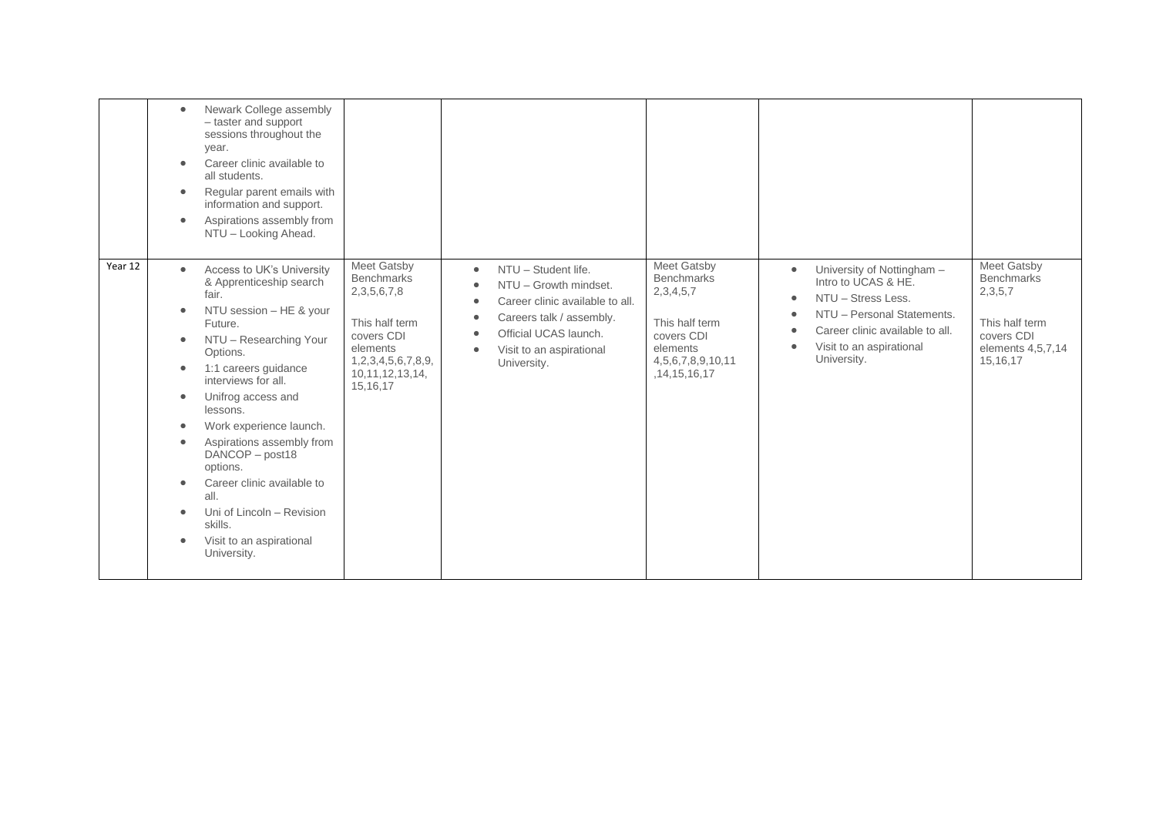| $\bullet$<br>$\bullet$<br>$\bullet$<br>$\bullet$                                                                                          | Newark College assembly<br>- taster and support<br>sessions throughout the<br>year.<br>Career clinic available to<br>all students.<br>Regular parent emails with<br>information and support.<br>Aspirations assembly from<br>NTU - Looking Ahead.                                                                                                                                                                                        |                                                                                                                                                             |                                                                                                                                                                                                                                                  |                                                                                                                                               |                                                                                                                                                                                                                    |                                                                                                                |
|-------------------------------------------------------------------------------------------------------------------------------------------|------------------------------------------------------------------------------------------------------------------------------------------------------------------------------------------------------------------------------------------------------------------------------------------------------------------------------------------------------------------------------------------------------------------------------------------|-------------------------------------------------------------------------------------------------------------------------------------------------------------|--------------------------------------------------------------------------------------------------------------------------------------------------------------------------------------------------------------------------------------------------|-----------------------------------------------------------------------------------------------------------------------------------------------|--------------------------------------------------------------------------------------------------------------------------------------------------------------------------------------------------------------------|----------------------------------------------------------------------------------------------------------------|
| Year 12<br>$\bullet$<br>$\bullet$<br>$\bullet$<br>$\bullet$<br>$\bullet$<br>$\bullet$<br>$\bullet$<br>$\bullet$<br>$\bullet$<br>$\bullet$ | Access to UK's University<br>& Apprenticeship search<br>fair.<br>NTU session - HE & your<br>Future.<br>NTU - Researching Your<br>Options.<br>1:1 careers guidance<br>interviews for all.<br>Unifrog access and<br>lessons.<br>Work experience launch.<br>Aspirations assembly from<br>DANCOP-post18<br>options.<br>Career clinic available to<br>all.<br>Uni of Lincoln - Revision<br>skills.<br>Visit to an aspirational<br>University. | Meet Gatsby<br><b>Benchmarks</b><br>2, 3, 5, 6, 7, 8<br>This half term<br>covers CDI<br>elements<br>1,2,3,4,5,6,7,8,9,<br>10, 11, 12, 13, 14,<br>15, 16, 17 | NTU - Student life.<br>$\bullet$<br>NTU - Growth mindset.<br>Career clinic available to all.<br>$\bullet$<br>Careers talk / assembly.<br>$\bullet$<br>Official UCAS launch.<br>$\bullet$<br>Visit to an aspirational<br>$\bullet$<br>University. | Meet Gatsby<br><b>Benchmarks</b><br>2, 3, 4, 5, 7<br>This half term<br>covers CDI<br>elements<br>4, 5, 6, 7, 8, 9, 10, 11<br>, 14, 15, 16, 17 | University of Nottingham -<br>$\bullet$<br>Intro to UCAS & HE.<br>NTU - Stress Less.<br>NTU - Personal Statements.<br>$\bullet$<br>Career clinic available to all.<br>Visit to an aspirational<br>٠<br>University. | Meet Gatsby<br><b>Benchmarks</b><br>2,3,5,7<br>This half term<br>covers CDI<br>elements 4,5,7,14<br>15, 16, 17 |